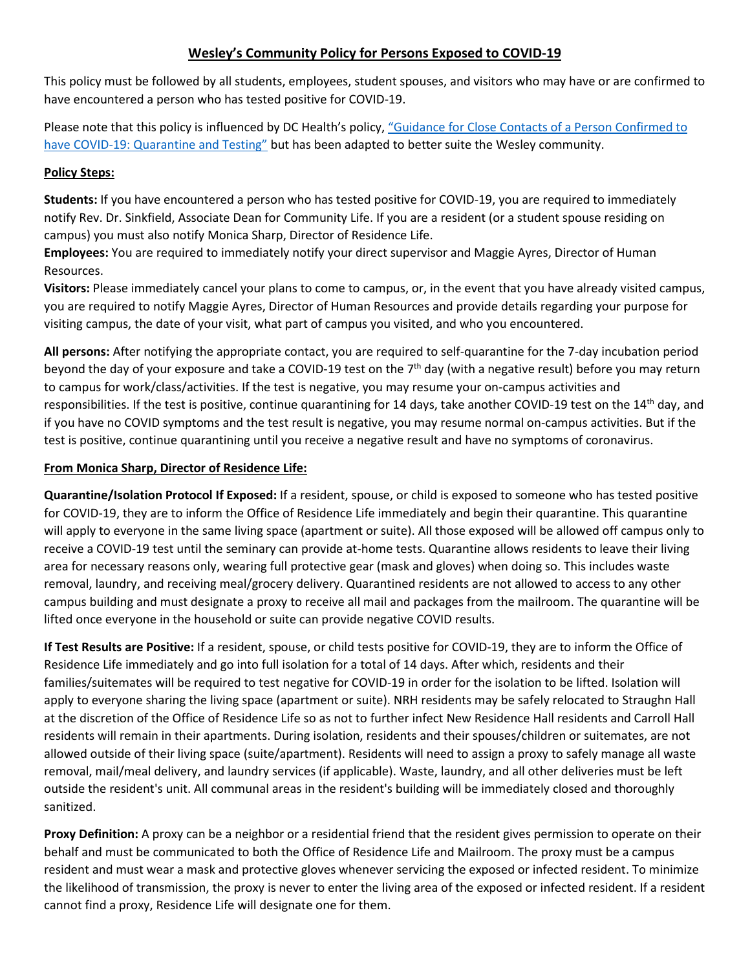## **Wesley's Community Policy for Persons Exposed to COVID-19**

This policy must be followed by all students, employees, student spouses, and visitors who may have or are confirmed to have encountered a person who has tested positive for COVID-19.

Please note that this policy is influenced by DC Health's policy, "Guidance for Close Contacts of a Person Confirmed to [have COVID-19: Quarantine](https://coronavirus.dc.gov/sites/default/files/dc/sites/coronavirus/page_content/attachments/Close_Contacts_and_Quarantine_DC_Health_COVID-19_Guidance_2021-11-29.pdf) and Testing" but has been adapted to better suite the Wesley community.

## **Policy Steps:**

**Students:** If you have encountered a person who has tested positive for COVID-19, you are required to immediately notify Rev. Dr. Sinkfield, Associate Dean for Community Life. If you are a resident (or a student spouse residing on campus) you must also notify Monica Sharp, Director of Residence Life.

**Employees:** You are required to immediately notify your direct supervisor and Maggie Ayres, Director of Human Resources.

**Visitors:** Please immediately cancel your plans to come to campus, or, in the event that you have already visited campus, you are required to notify Maggie Ayres, Director of Human Resources and provide details regarding your purpose for visiting campus, the date of your visit, what part of campus you visited, and who you encountered.

**All persons:** After notifying the appropriate contact, you are required to self-quarantine for the 7-day incubation period beyond the day of your exposure and take a COVID-19 test on the 7<sup>th</sup> day (with a negative result) before you may return to campus for work/class/activities. If the test is negative, you may resume your on-campus activities and responsibilities. If the test is positive, continue quarantining for 14 days, take another COVID-19 test on the 14<sup>th</sup> day, and if you have no COVID symptoms and the test result is negative, you may resume normal on-campus activities. But if the test is positive, continue quarantining until you receive a negative result and have no symptoms of coronavirus.

## **From Monica Sharp, Director of Residence Life:**

**Quarantine/Isolation Protocol If Exposed:** If a resident, spouse, or child is exposed to someone who has tested positive for COVID-19, they are to inform the Office of Residence Life immediately and begin their quarantine. This quarantine will apply to everyone in the same living space (apartment or suite). All those exposed will be allowed off campus only to receive a COVID-19 test until the seminary can provide at-home tests. Quarantine allows residents to leave their living area for necessary reasons only, wearing full protective gear (mask and gloves) when doing so. This includes waste removal, laundry, and receiving meal/grocery delivery. Quarantined residents are not allowed to access to any other campus building and must designate a proxy to receive all mail and packages from the mailroom. The quarantine will be lifted once everyone in the household or suite can provide negative COVID results.

**If Test Results are Positive:** If a resident, spouse, or child tests positive for COVID-19, they are to inform the Office of Residence Life immediately and go into full isolation for a total of 14 days. After which, residents and their families/suitemates will be required to test negative for COVID-19 in order for the isolation to be lifted. Isolation will apply to everyone sharing the living space (apartment or suite). NRH residents may be safely relocated to Straughn Hall at the discretion of the Office of Residence Life so as not to further infect New Residence Hall residents and Carroll Hall residents will remain in their apartments. During isolation, residents and their spouses/children or suitemates, are not allowed outside of their living space (suite/apartment). Residents will need to assign a proxy to safely manage all waste removal, mail/meal delivery, and laundry services (if applicable). Waste, laundry, and all other deliveries must be left outside the resident's unit. All communal areas in the resident's building will be immediately closed and thoroughly sanitized.

**Proxy Definition:** A proxy can be a neighbor or a residential friend that the resident gives permission to operate on their behalf and must be communicated to both the Office of Residence Life and Mailroom. The proxy must be a campus resident and must wear a mask and protective gloves whenever servicing the exposed or infected resident. To minimize the likelihood of transmission, the proxy is never to enter the living area of the exposed or infected resident. If a resident cannot find a proxy, Residence Life will designate one for them.